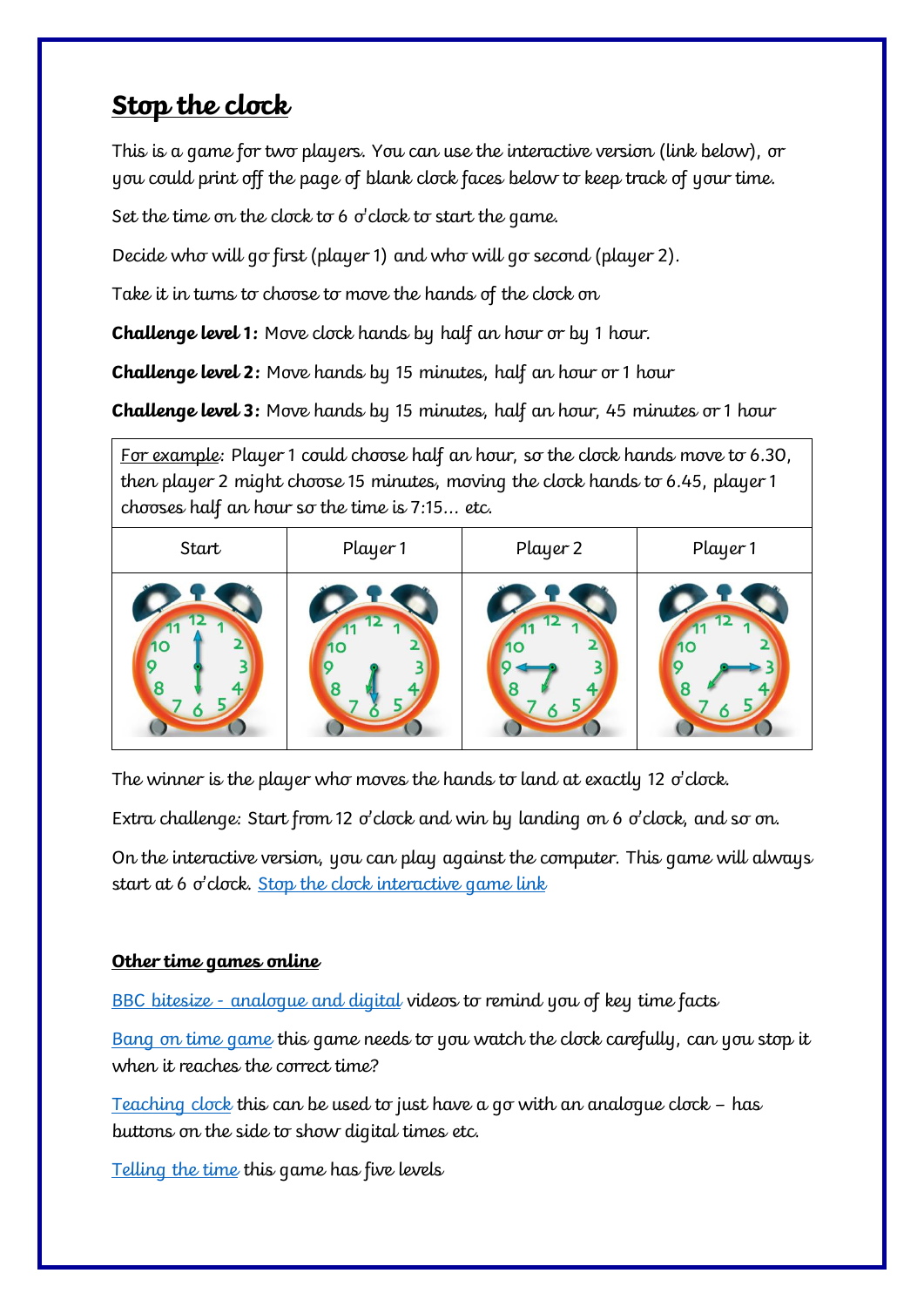## **Stop the clock**

This is a game for two players. You can use the interactive version (link below), or you could print off the page of blank clock faces below to keep track of your time.

Set the time on the clock to 6 o'clock to start the game.

Decide who will go first (player 1) and who will go second (player 2).

Take it in turns to choose to move the hands of the clock on

**Challenge level 1:** Move clock hands by half an hour or by 1 hour.

**Challenge level 2:** Move hands by 15 minutes, half an hour or 1 hour

**Challenge level 3:** Move hands by 15 minutes, half an hour, 45 minutes or 1 hour

For example: Player 1 could choose half an hour, so the clock hands move to 6.30, then player 2 might choose 15 minutes, moving the clock hands to 6.45, player 1 chooses half an hour so the time is 7:15... etc.

| Start | Player 1 | Player 2 | Player 1 |
|-------|----------|----------|----------|
|       |          |          |          |

The winner is the player who moves the hands to land at exactly 12 o'clock.

Extra challenge: Start from 12 o'clock and win by landing on 6 o'clock, and so on.

On the interactive version, you can play against the computer. This game will always start at 6 o'clock. [Stop the clock interactive game link](https://nrich.maths.org/6071)

## **Other time games online**

BBC bitesize - [analogue and digital](https://www.bbc.co.uk/bitesize/topics/zkfycdm/articles/zcrmqty) videos to remind you of key time facts

[Bang on time game](https://www.teachingtime.co.uk/clock2/clockwordsres.html) this game needs to you watch the clock carefully, can you stop it when it reaches the correct time?

<u>[Teaching clock](http://flash.topmarks.co.uk/2445)</u> this can be used to just have a go with an analogue clock – has buttons on the side to show digital times etc.

[Telling the time](https://mathsframe.co.uk/en/resources/resource/116/telling-the-time) this game has five levels